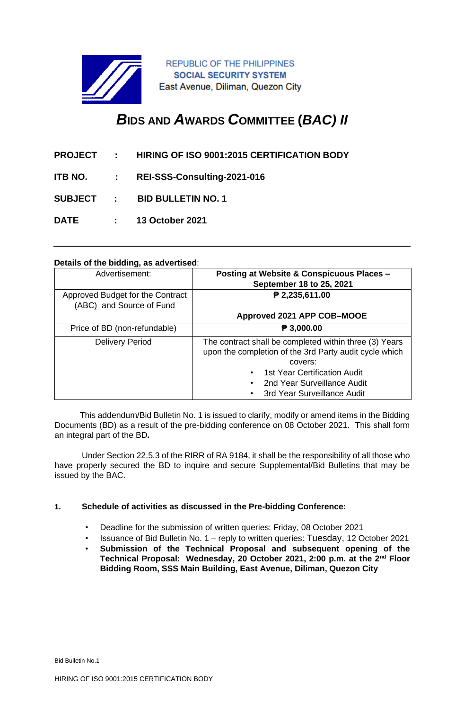

**REPUBLIC OF THE PHILIPPINES SOCIAL SECURITY SYSTEM** East Avenue, Diliman, Quezon City

# *B***IDS AND** *A***WARDS** *C***OMMITTEE (***BAC) II*

|  | <b>PROJECT : HIRING OF ISO 9001:2015 CERTIFICATION BODY</b> |
|--|-------------------------------------------------------------|
|  | ITB NO. : REI-SSS-Consulting-2021-016                       |
|  | SUBJECT : BID BULLETIN NO. 1                                |
|  | DATE : 13 October 2021                                      |

#### **Details of the bidding, as advertised**:

| Advertisement:                                               | Posting at Website & Conspicuous Places -<br>September 18 to 25, 2021                                                                                                                                                                  |
|--------------------------------------------------------------|----------------------------------------------------------------------------------------------------------------------------------------------------------------------------------------------------------------------------------------|
| Approved Budget for the Contract<br>(ABC) and Source of Fund | ₱ 2,235,611.00                                                                                                                                                                                                                         |
|                                                              | Approved 2021 APP COB-MOOE                                                                                                                                                                                                             |
| Price of BD (non-refundable)                                 | P 3,000.00                                                                                                                                                                                                                             |
| <b>Delivery Period</b>                                       | The contract shall be completed within three (3) Years<br>upon the completion of the 3rd Party audit cycle which<br>covers:<br>1st Year Certification Audit<br>2nd Year Surveillance Audit<br>3rd Year Surveillance Audit<br>$\bullet$ |

 This addendum/Bid Bulletin No. 1 is issued to clarify, modify or amend items in the Bidding Documents (BD) as a result of the pre-bidding conference on 08 October 2021. This shall form an integral part of the BD**.** 

Under Section 22.5.3 of the RIRR of RA 9184, it shall be the responsibility of all those who have properly secured the BD to inquire and secure Supplemental/Bid Bulletins that may be issued by the BAC.

# **1. Schedule of activities as discussed in the Pre-bidding Conference:**

- Deadline for the submission of written queries: Friday, 08 October 2021
- Issuance of Bid Bulletin No. 1 reply to written queries: Tuesday, 12 October 2021
- **Submission of the Technical Proposal and subsequent opening of the Technical Proposal: Wednesday, 20 October 2021, 2:00 p.m. at the 2nd Floor Bidding Room, SSS Main Building, East Avenue, Diliman, Quezon City**

Bid Bulletin No.1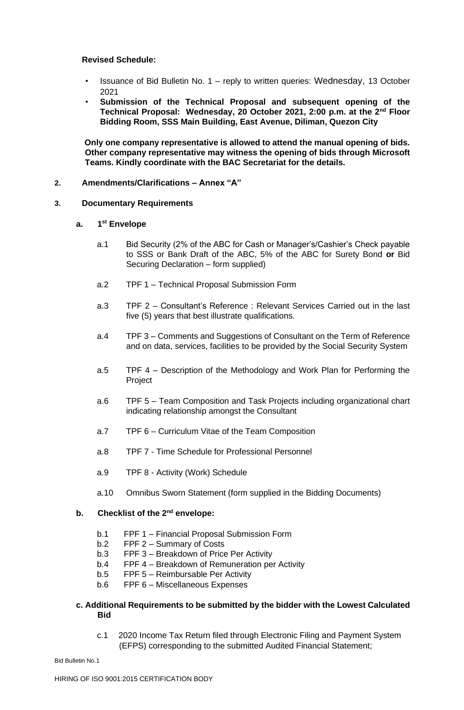#### **Revised Schedule:**

- Issuance of Bid Bulletin No. 1 reply to written queries: Wednesday, 13 October 2021
- **Submission of the Technical Proposal and subsequent opening of the Technical Proposal: Wednesday, 20 October 2021, 2:00 p.m. at the 2nd Floor Bidding Room, SSS Main Building, East Avenue, Diliman, Quezon City**

**Only one company representative is allowed to attend the manual opening of bids. Other company representative may witness the opening of bids through Microsoft Teams. Kindly coordinate with the BAC Secretariat for the details.**

#### **2. Amendments/Clarifications – Annex "A"**

#### **3. Documentary Requirements**

#### **a. 1 st Envelope**

- a.1 Bid Security (2% of the ABC for Cash or Manager's/Cashier's Check payable to SSS or Bank Draft of the ABC, 5% of the ABC for Surety Bond **or** Bid Securing Declaration – form supplied)
- a.2 TPF 1 Technical Proposal Submission Form
- a.3 TPF 2 Consultant's Reference : Relevant Services Carried out in the last five (5) years that best illustrate qualifications.
- a.4 TPF 3 Comments and Suggestions of Consultant on the Term of Reference and on data, services, facilities to be provided by the Social Security System
- a.5 TPF 4 Description of the Methodology and Work Plan for Performing the Project
- a.6 TPF 5 Team Composition and Task Projects including organizational chart indicating relationship amongst the Consultant
- a.7 TPF 6 Curriculum Vitae of the Team Composition
- a.8 TPF 7 Time Schedule for Professional Personnel
- a.9 TPF 8 Activity (Work) Schedule
- a.10 Omnibus Sworn Statement (form supplied in the Bidding Documents)

# **b. Checklist of the 2nd envelope:**

- b.1 FPF 1 Financial Proposal Submission Form
- b.2 FPF 2 Summary of Costs
- b.3 FPF 3 Breakdown of Price Per Activity
- b.4 FPF 4 Breakdown of Remuneration per Activity
- b.5 FPF 5 Reimbursable Per Activity
- b.6 FPF 6 Miscellaneous Expenses

### **c. Additional Requirements to be submitted by the bidder with the Lowest Calculated Bid**

c.1 2020 Income Tax Return filed through Electronic Filing and Payment System (EFPS) corresponding to the submitted Audited Financial Statement;

Bid Bulletin No.1